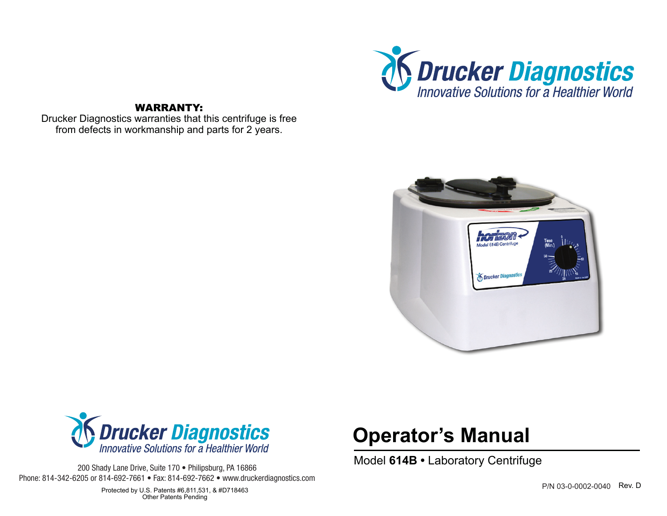

# WARRANTY:

Drucker Diagnostics warranties that this centrifuge is free from defects in workmanship and parts for 2 years.





200 Shady Lane Drive, Suite 170 • Philipsburg, PA 16866 Phone: 814-342-6205 or 814-692-7661 • Fax: 814-692-7662 • www.druckerdiagnostics.com

# **Operator's Manual**

Model **614B •** Laboratory Centrifuge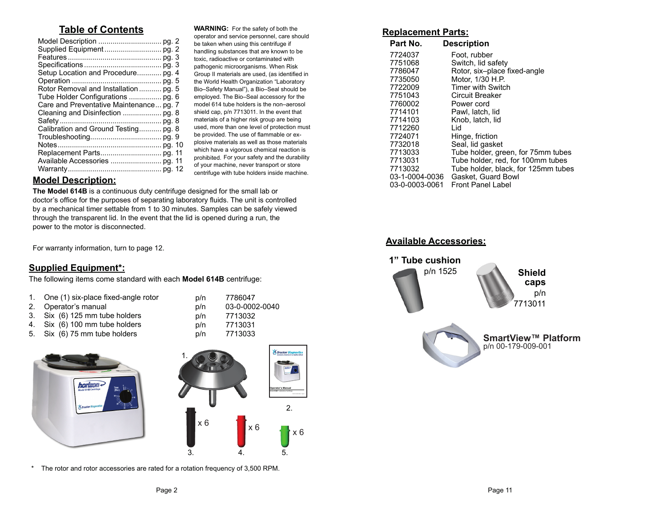# **Table of Contents**

| Setup Location and Procedure pg. 4      |  |
|-----------------------------------------|--|
|                                         |  |
| Rotor Removal and Installation  pg. 5   |  |
| Tube Holder Configurations  pg. 6       |  |
| Care and Preventative Maintenance pg. 7 |  |
|                                         |  |
|                                         |  |
| Calibration and Ground Testing pg. 8    |  |
|                                         |  |
|                                         |  |
|                                         |  |
|                                         |  |
|                                         |  |
|                                         |  |

**WARNING:** For the safety of both the operator and service personnel, care should be taken when using this centrifuge if handling substances that are known to be toxic, radioactive or contaminated with pathogenic microorganisms. When Risk Group II materials are used, (as identified in the World Health Organization "Laboratory Bio–Safety Manual"), a Bio–Seal should be employed. The Bio–Seal accessory for the model 614 tube holders is the non–aerosol shield cap, p/n 7713011. In the event that materials of a higher risk group are being used, more than one level of protection must be provided. The use of flammable or explosive materials as well as those materials which have a vigorous chemical reaction is prohibited. For your safety and the durability of your machine, never transport or store centrifuge with tube holders inside machine.

# **Model Description:**

**The Model 614B** is a continuous duty centrifuge designed for the small lab or doctor's office for the purposes of separating laboratory fluids. The unit is controlled by a mechanical timer settable from 1 to 30 minutes. Samples can be safely viewed through the transparent lid. In the event that the lid is opened during a run, the power to the motor is disconnected.

For warranty information, turn to page 12.

## **Supplied Equipment\*:**

The following items come standard with each **Model 614B** centrifuge:

| 1. One (1) six-place fixed-angle rotor | p/n | 7786047        |
|----------------------------------------|-----|----------------|
|                                        |     |                |
| 2. Operator's manual                   | p/n | 03-0-0002-0040 |
| 3. Six (6) 125 mm tube holders         | p/n | 7713032        |
| 4. Six (6) 100 mm tube holders         | p/n | 7713031        |
| 5. Six (6) 75 mm tube holders          | p/n | 7713033        |





\* The rotor and rotor accessories are rated for a rotation frequency of 3,500 RPM.

### **Replacement Parts:**

| Part No.       | <b>Description</b>                  |
|----------------|-------------------------------------|
| 7724037        | Foot, rubber                        |
| 7751068        | Switch, lid safety                  |
| 7786047        | Rotor, six-place fixed-angle        |
| 7735050        | Motor, 1/30 H.P.                    |
| 7722009        | <b>Timer with Switch</b>            |
| 7751043        | Circuit Breaker                     |
| 7760002        | Power cord                          |
| 7714101        | Pawl, latch, lid                    |
| 7714103        | Knob, latch, lid                    |
| 7712260        | Lid                                 |
| 7724071        | Hinge, friction                     |
| 7732018        | Seal, lid gasket                    |
| 7713033        | Tube holder, green, for 75mm tubes  |
| 7713031        | Tube holder, red, for 100mm tubes   |
| 7713032        | Tube holder, black, for 125mm tubes |
| 03-1-0004-0036 | Gasket, Guard Bowl                  |
| 03-0-0003-0061 | <b>Front Panel Label</b>            |

### **Available Accessories:**

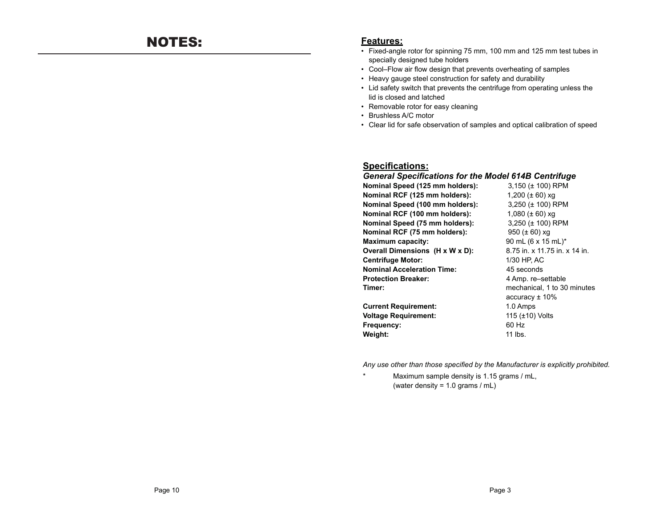### **Features:**

- Fixed-angle rotor for spinning 75 mm, 100 mm and 125 mm test tubes in specially designed tube holders
- Cool–Flow air flow design that prevents overheating of samples
- Heavy gauge steel construction for safety and durability
- Lid safety switch that prevents the centrifuge from operating unless the lid is closed and latched
- Removable rotor for easy cleaning
- Brushless A/C motor
- Clear lid for safe observation of samples and optical calibration of speed

### **Specifications:**

### *General Specifications for the Model 614B Centrifuge*

| Nominal Speed (125 mm holders):   | 3,150 $(\pm 100)$ RPM         |
|-----------------------------------|-------------------------------|
| Nominal RCF (125 mm holders):     | 1,200 ( $\pm$ 60) xg          |
| Nominal Speed (100 mm holders):   | 3,250 ( $\pm$ 100) RPM        |
| Nominal RCF (100 mm holders):     | 1,080 ( $\pm$ 60) xq          |
| Nominal Speed (75 mm holders):    | 3,250 (± 100) RPM             |
| Nominal RCF (75 mm holders):      | 950 $(\pm 60)$ xg             |
| Maximum capacity:                 | 90 mL (6 x 15 mL)*            |
| Overall Dimensions (H x W x D):   | 8.75 in. x 11.75 in. x 14 in. |
| <b>Centrifuge Motor:</b>          | 1/30 HP, AC                   |
| <b>Nominal Acceleration Time:</b> | 45 seconds                    |
| Protection Breaker:               | 4 Amp. re-settable            |
| Timer:                            | mechanical, 1 to 30 minutes   |
|                                   | $accuracy \pm 10\%$           |
| <b>Current Requirement:</b>       | 1.0 Amps                      |
| <b>Voltage Requirement:</b>       | 115 $(\pm 10)$ Volts          |
| Frequency:                        | 60 Hz                         |

*Any use other than those specified by the Manufacturer is explicitly prohibited.* 

\* Maximum sample density is 1.15 grams / mL, (water density = 1.0 grams / mL)

**Weight:** 11 lbs.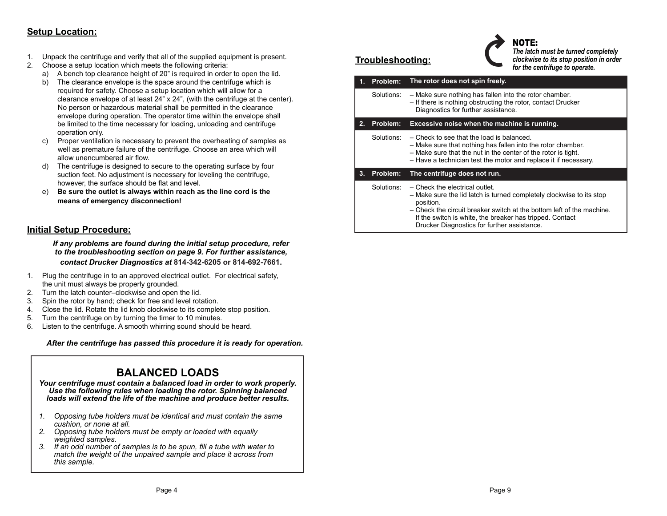# **Setup Location:**

- 1. Unpack the centrifuge and verify that all of the supplied equipment is present.
- 2. Choose a setup location which meets the following criteria:
	- a) A bench top clearance height of 20" is required in order to open the lid.
	- b) The clearance envelope is the space around the centrifuge which is required for safety. Choose a setup location which will allow for a clearance envelope of at least 24" x 24", (with the centrifuge at the center). No person or hazardous material shall be permitted in the clearance envelope during operation. The operator time within the envelope shall be limited to the time necessary for loading, unloading and centrifuge operation only.
	- c) Proper ventilation is necessary to prevent the overheating of samples as well as premature failure of the centrifuge. Choose an area which will allow unencumbered air flow.
	- d) The centrifuge is designed to secure to the operating surface by four suction feet. No adjustment is necessary for leveling the centrifuge, however, the surface should be flat and level.
	- e) **Be sure the outlet is always within reach as the line cord is the means of emergency disconnection!**

# **Initial Setup Procedure:**

*If any problems are found during the initial setup procedure, refer to the troubleshooting section on page 9. For further assistance, contact Drucker Diagnostics at* **814-342-6205 or 814-692-7661.**

- 1. Plug the centrifuge in to an approved electrical outlet. For electrical safety, the unit must always be properly grounded.
- 2. Turn the latch counter–clockwise and open the lid.
- 3. Spin the rotor by hand; check for free and level rotation.
- 4. Close the lid. Rotate the lid knob clockwise to its complete stop position.
- 5. Turn the centrifuge on by turning the timer to 10 minutes.
- 6. Listen to the centrifuge. A smooth whirring sound should be heard.

*After the centrifuge has passed this procedure it is ready for operation.*

# **BALANCED LOADS**

*Your centrifuge must contain a balanced load in order to work properly. Use the following rules when loading the rotor. Spinning balanced loads will extend the life of the machine and produce better results.*

- *1. Opposing tube holders must be identical and must contain the same cushion, or none at all.*
- *2. Opposing tube holders must be empty or loaded with equally weighted samples.*
- *3. If an odd number of samples is to be spun, fill a tube with water to match the weight of the unpaired sample and place it across from this sample.*

# **Troubleshooting:**



NOTE: *The latch must be turned completely clockwise to its stop position in order for the centrifuge to operate.*

| 1. | Problem:   | The rotor does not spin freely.                                                                                                                                                                                                              |
|----|------------|----------------------------------------------------------------------------------------------------------------------------------------------------------------------------------------------------------------------------------------------|
|    | Solutions: | - Make sure nothing has fallen into the rotor chamber.<br>- If there is nothing obstructing the rotor, contact Drucker<br>Diagnostics for further assistance.                                                                                |
| 2. | Problem:   | Excessive noise when the machine is running.                                                                                                                                                                                                 |
|    | Solutions: | - Check to see that the load is balanced.<br>- Make sure that nothing has fallen into the rotor chamber.<br>- Make sure that the nut in the center of the rotor is tight.<br>- Have a technician test the motor and replace it if necessary. |
| 3. | Problem:   | The centrifuge does not run.                                                                                                                                                                                                                 |
|    | Solutions: | - Check the electrical outlet.<br>- Make sure the lid latch is turned completely clockwise to its stop<br>position.                                                                                                                          |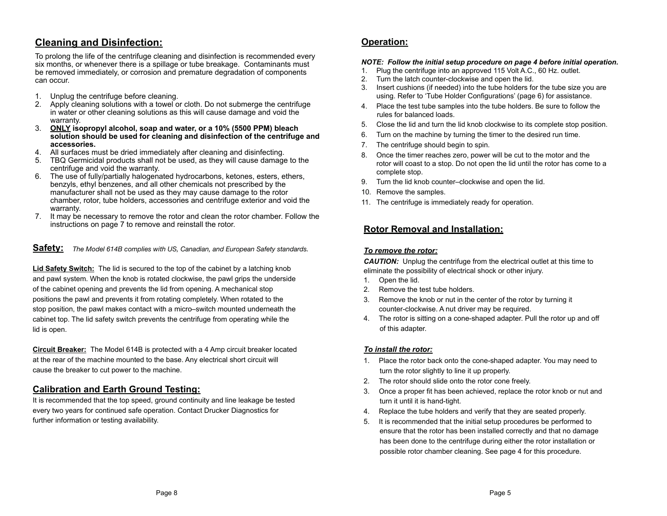# **Cleaning and Disinfection:**

To prolong the life of the centrifuge cleaning and disinfection is recommended every six months, or whenever there is a spillage or tube breakage. Contaminants must be removed immediately, or corrosion and premature degradation of components can occur.

- 1. Unplug the centrifuge before cleaning.
- 2. Apply cleaning solutions with a towel or cloth. Do not submerge the centrifuge in water or other cleaning solutions as this will cause damage and void the warranty.
- 3. **ONLY isopropyl alcohol, soap and water, or a 10% (5500 PPM) bleach solution should be used for cleaning and disinfection of the centrifuge and accessories.**
- 4. All surfaces must be dried immediately after cleaning and disinfecting.
- 5. TBQ Germicidal products shall not be used, as they will cause damage to the centrifuge and void the warranty.
- 6. The use of fully/partially halogenated hydrocarbons, ketones, esters, ethers, benzyls, ethyl benzenes, and all other chemicals not prescribed by the manufacturer shall not be used as they may cause damage to the rotor chamber, rotor, tube holders, accessories and centrifuge exterior and void the warranty.
- 7. It may be necessary to remove the rotor and clean the rotor chamber. Follow the instructions on page 7 to remove and reinstall the rotor.

**Safety:** *The Model 614B complies with US, Canadian, and European Safety standards.*

**Lid Safety Switch:** The lid is secured to the top of the cabinet by a latching knob and pawl system. When the knob is rotated clockwise, the pawl grips the underside of the cabinet opening and prevents the lid from opening. A mechanical stop positions the pawl and prevents it from rotating completely. When rotated to the stop position, the pawl makes contact with a micro–switch mounted underneath the cabinet top. The lid safety switch prevents the centrifuge from operating while the lid is open.

**Circuit Breaker:** The Model 614B is protected with a 4 Amp circuit breaker located at the rear of the machine mounted to the base. Any electrical short circuit will cause the breaker to cut power to the machine.

### **Calibration and Earth Ground Testing:**

It is recommended that the top speed, ground continuity and line leakage be tested every two years for continued safe operation. Contact Drucker Diagnostics for further information or testing availability.

# **Operation:**

### *NOTE: Follow the initial setup procedure on page 4 before initial operation.*

- 1. Plug the centrifuge into an approved 115 Volt A.C., 60 Hz. outlet.
- 2. Turn the latch counter-clockwise and open the lid.
- 3. Insert cushions (if needed) into the tube holders for the tube size you are using. Refer to 'Tube Holder Configurations' (page 6) for assistance.
- 4. Place the test tube samples into the tube holders. Be sure to follow the rules for balanced loads.
- 5. Close the lid and turn the lid knob clockwise to its complete stop position.
- 6. Turn on the machine by turning the timer to the desired run time.
- 7. The centrifuge should begin to spin.
- 8. Once the timer reaches zero, power will be cut to the motor and the rotor will coast to a stop. Do not open the lid until the rotor has come to a complete stop.
- 9. Turn the lid knob counter–clockwise and open the lid.
- 10. Remove the samples.
- 11. The centrifuge is immediately ready for operation.

### **Rotor Removal and Installation:**

### *To remove the rotor:*

**CAUTION:** Unplug the centrifuge from the electrical outlet at this time to eliminate the possibility of electrical shock or other injury.

- 1. Open the lid.
- 2. Remove the test tube holders.
- 3. Remove the knob or nut in the center of the rotor by turning it counter-clockwise. A nut driver may be required.
- 4. The rotor is sitting on a cone-shaped adapter. Pull the rotor up and off of this adapter.

### *To install the rotor:*

- 1. Place the rotor back onto the cone-shaped adapter. You may need to turn the rotor slightly to line it up properly.
- 2. The rotor should slide onto the rotor cone freely.
- 3. Once a proper fit has been achieved, replace the rotor knob or nut and turn it until it is hand-tight.
- 4. Replace the tube holders and verify that they are seated properly.
- 5. It is recommended that the initial setup procedures be performed to ensure that the rotor has been installed correctly and that no damage has been done to the centrifuge during either the rotor installation or possible rotor chamber cleaning. See page 4 for this procedure.